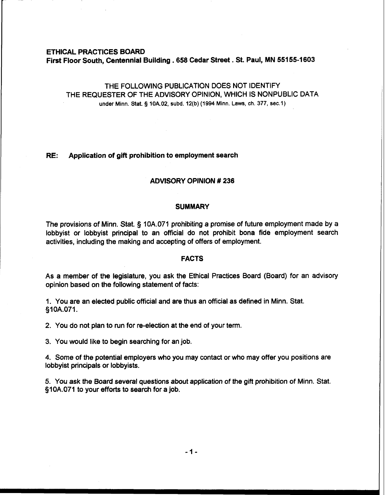#### ETHICAL PRACTICES BOARD

First Floor South, Centennial Building . **658** Cedar Street . St. Paul, MN **551 55-1603** 

THE FOLLOWING PUBLICATION DOES NOT IDENTIFY THE REQUESTER OF THE ADVISORY OPINION, WHICH IS NONPUBLIC DATA under Minn. Stat. **5 10A.02, subd. 12(b) (1994** Minn. **Laws, ch.** 377, **sec.1)** 

#### **RE:** Application of gift prohibition to employment search

#### ADVISORY OPINION # **236**

#### **SUMMARY**

The provisions of Minn. Stat. § 10A.071 prohibiting a promise of future employment made by a lobbyist or lobbyist principal to an official do not prohibit bona fide employment search activities, including the making and accepting of offers of employment.

### FACTS

As a member of the legislature, you ask the Ethical Practices Board (Board) for an advisory opinion based on the following statement of facts:

1. You are an elected public official and are thus an official as defined in Minn. Stat. 310A.071.

2. You do not plan to run for re-election at the end of your term.

3. You would like to begin searching for an job.

4. Some of the potential employers who you may contact or who may offer you positions are lobbyist principals or lobbyists.

5. You ask the Board several questions about application of the gift prohibition of Minn. Stat. 310A.071 to your efforts to search for a job.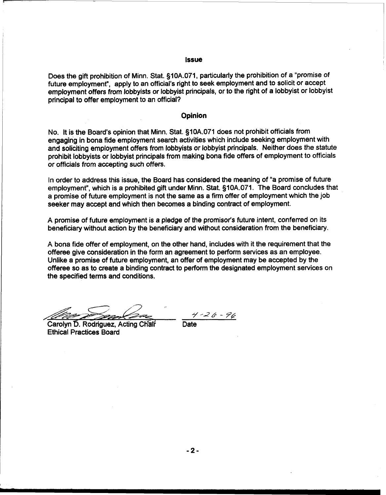#### Issue

Does the gift prohibition of Minn. Stat. §10A.071, particularly the prohibition of a "promise of future employment", apply to an official's right to seek employment and to solicit or accept employment offers from lobbyists or lobbyist principals, or to the right of a lobbyist or lobbyist principal to offer employment to an official?

#### **Opinion**

No. It is the Board's opinion that Minn. Stat. §10A.071 does not prohibit officials from engaging in bona fide employment search activities which include seeking employment with and soliciting employment offers from lobbyists or lobbyist principals. Neither does the statute prohibit lobbyists or lobbyist principals from making bona fide offers of employment to officials or officials from accepting such offers.

In order to address this issue, the Board has considered the meaning of "a promise of future employment", which is a prohibited gift under Minn. Stat. §10A.071. The Board concludes that a promise of future employment is not the same as a firm offer of employment which the job seeker may accept and which then becomes a binding contract of employment.

A promise of future employment is a pledge of the promisor's future intent, conferred on its beneficiary without action by the beneficiary and without consideration from the beneficiary.

A bona fide offer of employment, on the other hand, includes with it the requirement that the offeree give consideration in the form an agreement to perform services as an employee. Unlike a promise of future employment, an offer of employment may be accepted by the offeree so as to create a binding contract to perform the designated employment services on the specified terms and conditions.

-

Carolyn D. Rodriguez, Acting Chair Ethical Practices Board

*7'-J&* - 76 Date